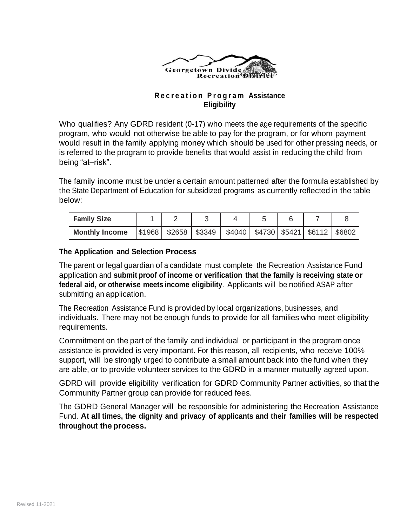

## **R e c r e a t i o n P r o g r a m Assistance Eligibility**

Who qualifies? Any GDRD resident (0-17) who meets the age requirements of the specific program, who would not otherwise be able to pay for the program, or for whom payment would result in the family applying money which should be used for other pressing needs, or is referred to the program to provide benefits that would assist in reducing the child from being "at–risk".

The family income must be under a certain amount patterned after the formula established by the State Department of Education for subsidized programs as currently reflected in the table below:

| <b>Family Size</b>    |                                                                       |  |  |  |
|-----------------------|-----------------------------------------------------------------------|--|--|--|
| <b>Monthly Income</b> | \$1968   \$2658   \$3349   \$4040   \$4730   \$5421   \$6112   \$6802 |  |  |  |

## **The Application and Selection Process**

The parent or legal guardian of a candidate must complete the Recreation Assistance Fund application and **submit proof of income or verification that the family is receiving state or federal aid, or otherwise meets income eligibility**. Applicants will be notified ASAP after submitting an application.

The Recreation Assistance Fund is provided by local organizations, businesses, and individuals. There may not be enough funds to provide for all families who meet eligibility requirements.

Commitment on the part of the family and individual or participant in the program once assistance is provided is very important. For this reason, all recipients, who receive 100% support, will be strongly urged to contribute a small amount back into the fund when they are able, or to provide volunteer services to the GDRD in a manner mutually agreed upon.

GDRD will provide eligibility verification for GDRD Community Partner activities, so that the Community Partner group can provide for reduced fees.

The GDRD General Manager will be responsible for administering the Recreation Assistance Fund. **At all times, the dignity and privacy of applicants and their families will be respected throughout the process.**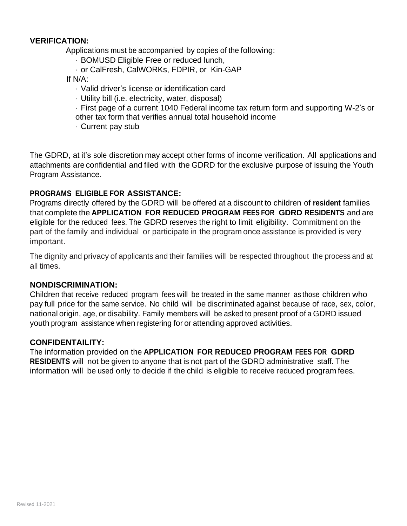## **VERIFICATION:**

Applications must be accompanied by copies of the following:

- · BOMUSD Eligible Free or reduced lunch,
- · or CalFresh, CalWORKs, FDPIR, or Kin-GAP

If N/A:

- · Valid driver's license or identification card
- · Utility bill (i.e. electricity, water, disposal)
- · First page of a current 1040 Federal income tax return form and supporting W-2's or other tax form that verifies annual total household income
- · Current pay stub

The GDRD, at it's sole discretion may accept other forms of income verification. All applications and attachments are confidential and filed with the GDRD for the exclusive purpose of issuing the Youth Program Assistance.

## **PROGRAMS ELIGIBLE FOR ASSISTANCE:**

Programs directly offered by the GDRD will be offered at a discount to children of **resident** families that complete the **APPLICATION FOR REDUCED PROGRAM FEES FOR GDRD RESIDENTS** and are eligible for the reduced fees. The GDRD reserves the right to limit eligibility. Commitment on the part of the family and individual or participate in the program once assistance is provided is very important.

The dignity and privacy of applicants and their families will be respected throughout the process and at all times.

## **NONDISCRIMINATION:**

Children that receive reduced program fees will be treated in the same manner as those children who pay full price for the same service. No child will be discriminated against because of race, sex, color, national origin, age, or disability. Family members will be asked to present proof of a GDRD issued youth program assistance when registering for or attending approved activities.

## **CONFIDENTAILITY:**

The information provided on the **APPLICATION FOR REDUCED PROGRAM FEES FOR GDRD RESIDENTS** will not be given to anyone that is not part of the GDRD administrative staff. The information will be used only to decide if the child is eligible to receive reduced program fees.